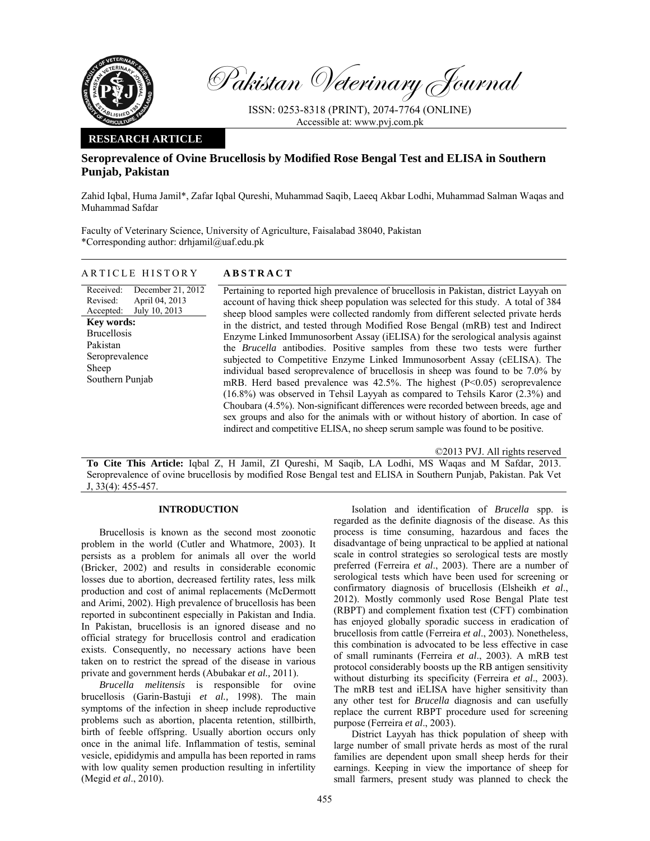

Pakistan Veterinary Journal

ISSN: 0253-8318 (PRINT), 2074-7764 (ONLINE) Accessible at: www.pvj.com.pk

# **RESEARCH ARTICLE**

# **Seroprevalence of Ovine Brucellosis by Modified Rose Bengal Test and ELISA in Southern Punjab, Pakistan**

Zahid Iqbal, Huma Jamil\*, Zafar Iqbal Qureshi, Muhammad Saqib, Laeeq Akbar Lodhi, Muhammad Salman Waqas and Muhammad Safdar

Faculty of Veterinary Science, University of Agriculture, Faisalabad 38040, Pakistan \*Corresponding author: drhjamil@uaf.edu.pk

| ARTICLE HISTORY |                                                                     | <b>ABSTRACT</b>                                                                           |  |  |
|-----------------|---------------------------------------------------------------------|-------------------------------------------------------------------------------------------|--|--|
| Revised:        | Received: December 21, 2012<br>April 04, 2013<br>$1 \t 1 \t 100012$ | Pertaining to reported high prevalence of b<br>account of having thick sheep population y |  |  |

Accepted: July 10, 2013 **Key words:**  Brucellosis Pakistan Seroprevalence Sheep Southern Punjab

brucellosis in Pakistan, district Layyah on was selected for this study. A total of 384 sheep blood samples were collected randomly from different selected private herds in the district, and tested through Modified Rose Bengal (mRB) test and Indirect Enzyme Linked Immunosorbent Assay (iELISA) for the serological analysis against the *Brucella* antibodies. Positive samples from these two tests were further subjected to Competitive Enzyme Linked Immunosorbent Assay (cELISA). The individual based seroprevalence of brucellosis in sheep was found to be 7.0% by mRB. Herd based prevalence was  $42.5\%$ . The highest (P<0.05) seroprevalence (16.8%) was observed in Tehsil Layyah as compared to Tehsils Karor (2.3%) and Choubara (4.5%). Non-significant differences were recorded between breeds, age and sex groups and also for the animals with or without history of abortion. In case of indirect and competitive ELISA, no sheep serum sample was found to be positive.

©2013 PVJ. All rights reserved

**To Cite This Article:** Iqbal Z, H Jamil, ZI Qureshi, M Saqib, LA Lodhi, MS Waqas and M Safdar, 2013. Seroprevalence of ovine brucellosis by modified Rose Bengal test and ELISA in Southern Punjab, Pakistan. Pak Vet J, 33(4): 455-457.

# **INTRODUCTION**

Brucellosis is known as the second most zoonotic problem in the world (Cutler and Whatmore, 2003). It persists as a problem for animals all over the world (Bricker, 2002) and results in considerable economic losses due to abortion, decreased fertility rates, less milk production and cost of animal replacements (McDermott and Arimi, 2002). High prevalence of brucellosis has been reported in subcontinent especially in Pakistan and India. In Pakistan, brucellosis is an ignored disease and no official strategy for brucellosis control and eradication exists. Consequently, no necessary actions have been taken on to restrict the spread of the disease in various private and government herds (Abubakar *et al.,* 2011).

*Brucella melitensis* is responsible for ovine brucellosis (Garin-Bastuji *et al.,* 1998). The main symptoms of the infection in sheep include reproductive problems such as abortion, placenta retention, stillbirth, birth of feeble offspring. Usually abortion occurs only once in the animal life. Inflammation of testis, seminal vesicle, epididymis and ampulla has been reported in rams with low quality semen production resulting in infertility (Megid *et al*., 2010).

Isolation and identification of *Brucella* spp. is regarded as the definite diagnosis of the disease. As this process is time consuming, hazardous and faces the disadvantage of being unpractical to be applied at national scale in control strategies so serological tests are mostly preferred (Ferreira *et al*., 2003). There are a number of serological tests which have been used for screening or confirmatory diagnosis of brucellosis (Elsheikh *et al*., 2012). Mostly commonly used Rose Bengal Plate test (RBPT) and complement fixation test (CFT) combination has enjoyed globally sporadic success in eradication of brucellosis from cattle (Ferreira *et al*., 2003). Nonetheless, this combination is advocated to be less effective in case of small ruminants (Ferreira *et al*., 2003). A mRB test protocol considerably boosts up the RB antigen sensitivity without disturbing its specificity (Ferreira *et al*., 2003). The mRB test and iELISA have higher sensitivity than any other test for *Brucella* diagnosis and can usefully replace the current RBPT procedure used for screening purpose (Ferreira *et al*., 2003).

District Layyah has thick population of sheep with large number of small private herds as most of the rural families are dependent upon small sheep herds for their earnings. Keeping in view the importance of sheep for small farmers, present study was planned to check the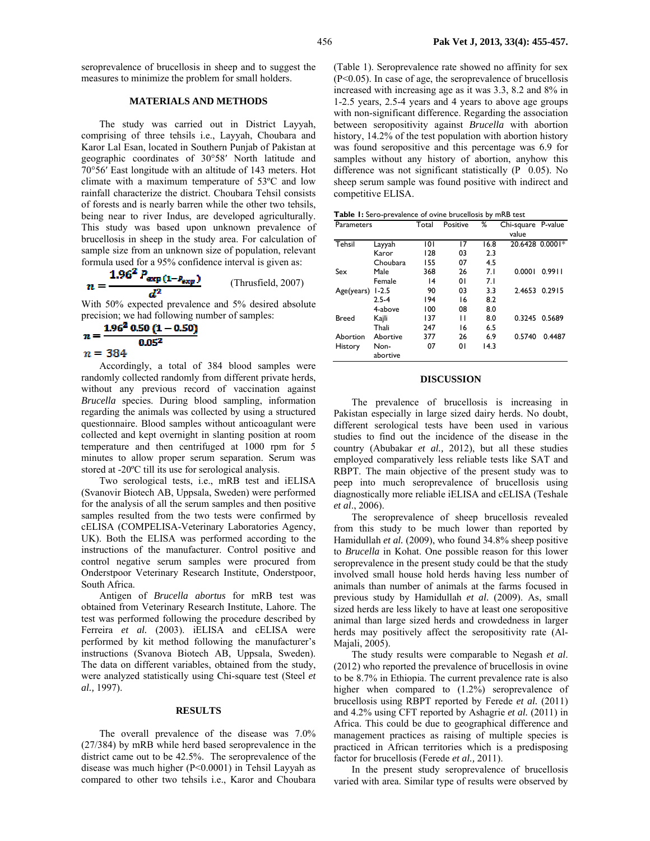seroprevalence of brucellosis in sheep and to suggest the measures to minimize the problem for small holders.

#### **MATERIALS AND METHODS**

The study was carried out in District Layyah, comprising of three tehsils i.e., Layyah, Choubara and Karor Lal Esan, located in Southern Punjab of Pakistan at geographic coordinates of 30°58′ North latitude and 70°56′ East longitude with an altitude of 143 meters. Hot climate with a maximum temperature of 53ºC and low rainfall characterize the district. Choubara Tehsil consists of forests and is nearly barren while the other two tehsils, being near to river Indus, are developed agriculturally. This study was based upon unknown prevalence of brucellosis in sheep in the study area. For calculation of sample size from an unknown size of population, relevant formula used for a 95% confidence interval is given as:

$$
=\frac{1.96^2 P_{\text{exp}(1-P_{\text{exp}})}}{d^2}
$$
 (Thrusfield, 2007)

With 50% expected prevalence and 5% desired absolute precision; we had following number of samples:

$$
n = \frac{1.96^2 \cdot 0.50 \cdot (1 - 0.50)}{0.05^2}
$$

$$
n = 384
$$

R.

Accordingly, a total of 384 blood samples were randomly collected randomly from different private herds, without any previous record of vaccination against *Brucella* species. During blood sampling, information regarding the animals was collected by using a structured questionnaire. Blood samples without anticoagulant were collected and kept overnight in slanting position at room temperature and then centrifuged at 1000 rpm for 5 minutes to allow proper serum separation. Serum was stored at -20ºC till its use for serological analysis.

Two serological tests, i.e., mRB test and iELISA (Svanovir Biotech AB, Uppsala, Sweden) were performed for the analysis of all the serum samples and then positive samples resulted from the two tests were confirmed by cELISA (COMPELISA-Veterinary Laboratories Agency, UK). Both the ELISA was performed according to the instructions of the manufacturer. Control positive and control negative serum samples were procured from Onderstpoor Veterinary Research Institute, Onderstpoor, South Africa.

Antigen of *Brucella abortus* for mRB test was obtained from Veterinary Research Institute, Lahore. The test was performed following the procedure described by Ferreira et al. (2003). iELISA and cELISA were performed by kit method following the manufacturer's instructions (Svanova Biotech AB, Uppsala, Sweden). The data on different variables, obtained from the study, were analyzed statistically using Chi-square test (Steel *et al.,* 1997).

#### **RESULTS**

The overall prevalence of the disease was 7.0% (27/384) by mRB while herd based seroprevalence in the district came out to be 42.5%. The seroprevalence of the disease was much higher (P<0.0001) in Tehsil Layyah as compared to other two tehsils i.e., Karor and Choubara (Table 1). Seroprevalence rate showed no affinity for sex (P<0.05). In case of age, the seroprevalence of brucellosis increased with increasing age as it was 3.3, 8.2 and 8% in 1-2.5 years, 2.5-4 years and 4 years to above age groups with non-significant difference. Regarding the association between seropositivity against *Brucella* with abortion history, 14.2% of the test population with abortion history was found seropositive and this percentage was 6.9 for samples without any history of abortion, anyhow this difference was not significant statistically  $(P\ 0.05)$ . No sheep serum sample was found positive with indirect and competitive ELISA.

| Parameters   |           | Total | Positive | ℅    | Chi-square P-value |                 |
|--------------|-----------|-------|----------|------|--------------------|-----------------|
|              |           |       |          |      | value              |                 |
| Tehsil       | Layyah    | 0     | 17       | 16.8 |                    | 20.6428 0.0001* |
|              | Karor     | 128   | 03       | 2.3  |                    |                 |
|              | Choubara  | 155   | 07       | 4.5  |                    |                 |
| Sex          | Male      | 368   | 26       | 7.1  | 0.0001             | 0.9911          |
|              | Female    | 4     | 01       | 7.1  |                    |                 |
| Age(years)   | $1 - 2.5$ | 90    | 03       | 3.3  | 2.4653             | 0.2915          |
|              | $2.5 - 4$ | 194   | 16       | 8.2  |                    |                 |
|              | 4-above   | 100   | 08       | 8.0  |                    |                 |
| <b>Breed</b> | Kajli     | 137   | П        | 8.0  | 0.3245             | 0.5689          |
|              | Thali     | 247   | 16       | 6.5  |                    |                 |
| Abortion     | Abortive  | 377   | 26       | 6.9  | 0.5740             | 0.4487          |
| History      | Non-      | 07    | 01       | 14.3 |                    |                 |
|              | abortive  |       |          |      |                    |                 |

### **DISCUSSION**

The prevalence of brucellosis is increasing in Pakistan especially in large sized dairy herds. No doubt, different serological tests have been used in various studies to find out the incidence of the disease in the country (Abubakar *et al.,* 2012), but all these studies employed comparatively less reliable tests like SAT and RBPT. The main objective of the present study was to peep into much seroprevalence of brucellosis using diagnostically more reliable iELISA and cELISA (Teshale *et al*., 2006).

The seroprevalence of sheep brucellosis revealed from this study to be much lower than reported by Hamidullah *et al.* (2009), who found 34.8% sheep positive to *Brucella* in Kohat. One possible reason for this lower seroprevalence in the present study could be that the study involved small house hold herds having less number of animals than number of animals at the farms focused in previous study by Hamidullah *et al.* (2009). As, small sized herds are less likely to have at least one seropositive animal than large sized herds and crowdedness in larger herds may positively affect the seropositivity rate (Al-Majali, 2005).

The study results were comparable to Negash *et al*. (2012) who reported the prevalence of brucellosis in ovine to be 8.7% in Ethiopia. The current prevalence rate is also higher when compared to  $(1.2%)$  seroprevalence of brucellosis using RBPT reported by Ferede *et al.* (2011) and 4.2% using CFT reported by Ashagrie *et al.* (2011) in Africa. This could be due to geographical difference and management practices as raising of multiple species is practiced in African territories which is a predisposing factor for brucellosis (Ferede *et al.,* 2011).

In the present study seroprevalence of brucellosis varied with area. Similar type of results were observed by